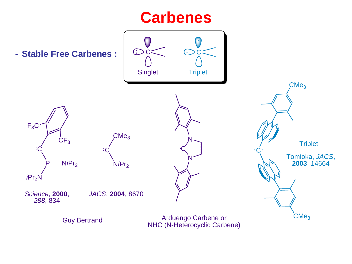### **Carbenes**

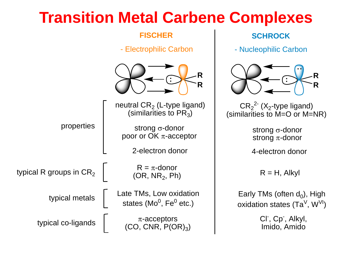### **Transition Metal Carbene Complexes**

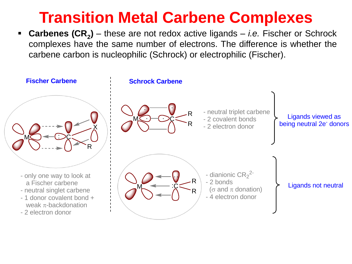## **Transition Metal Carbene Complexes**

▪ **Carbenes (CR<sup>2</sup> )** – these are not redox active ligands – *i.e.* Fischer or Schrock complexes have the same number of electrons. The difference is whether the carbene carbon is nucleophilic (Schrock) or electrophilic (Fischer).

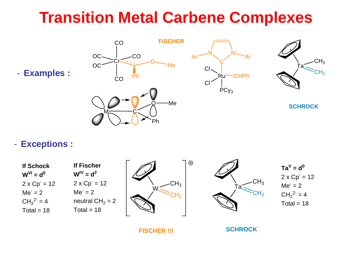### **Transition Metal Carbene Complexes**



#### - **Exceptions :**



**FISCHER !!!**

**SCHROCK**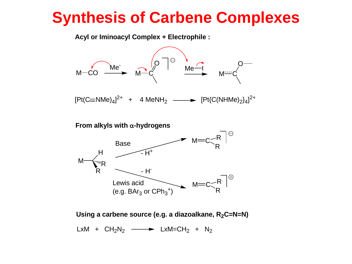## **Synthesis of Carbene Complexes**

**Acyl or Iminoacyl Complex + Electrophile :**



 $[Pt(C \equiv NMe)_4]^{2+}$  + 4 MeNH<sub>2</sub>  $\longrightarrow [Pt(C(NHMe)_2)_4]^{2+}$ 

From alkyls with  $\alpha$ -hydrogens



**Using a carbene source (e.g. a diazoalkane, R2C=N=N)**

 $LxM + CH<sub>2</sub>N<sub>2</sub> \longrightarrow LxM=CH<sub>2</sub> + N<sub>2</sub>$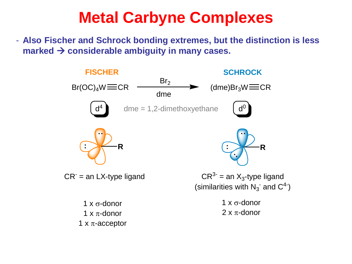# **Metal Carbyne Complexes**

- **Also Fischer and Schrock bonding extremes, but the distinction is less marked** → **considerable ambiguity in many cases.**

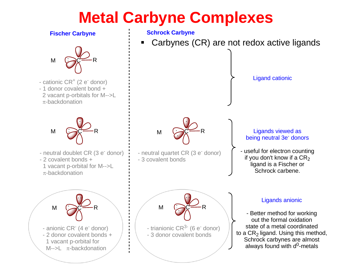# **Metal Carbyne Complexes**